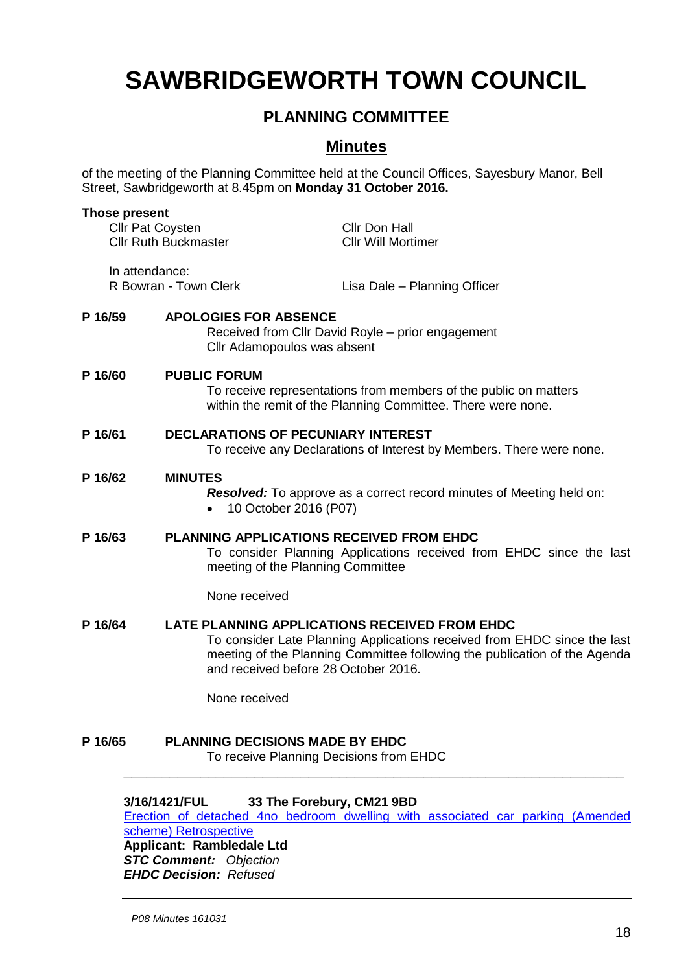# **SAWBRIDGEWORTH TOWN COUNCIL**

## **PLANNING COMMITTEE**

## **Minutes**

of the meeting of the Planning Committee held at the Council Offices, Sayesbury Manor, Bell Street, Sawbridgeworth at 8.45pm on **Monday 31 October 2016.**

| <b>Those present</b><br><b>Cllr Pat Coysten</b><br><b>Cllr Ruth Buckmaster</b> |                                                                                                                                                                                                                                                | Cllr Don Hall<br><b>Cllr Will Mortimer</b>                           |
|--------------------------------------------------------------------------------|------------------------------------------------------------------------------------------------------------------------------------------------------------------------------------------------------------------------------------------------|----------------------------------------------------------------------|
| In attendance:<br>R Bowran - Town Clerk                                        |                                                                                                                                                                                                                                                | Lisa Dale - Planning Officer                                         |
| P 16/59                                                                        | <b>APOLOGIES FOR ABSENCE</b><br>Cllr Adamopoulos was absent                                                                                                                                                                                    | Received from Cllr David Royle - prior engagement                    |
| P 16/60                                                                        | <b>PUBLIC FORUM</b><br>To receive representations from members of the public on matters<br>within the remit of the Planning Committee. There were none.                                                                                        |                                                                      |
| P 16/61                                                                        | <b>DECLARATIONS OF PECUNIARY INTEREST</b><br>To receive any Declarations of Interest by Members. There were none.                                                                                                                              |                                                                      |
| P 16/62                                                                        | <b>MINUTES</b><br>10 October 2016 (P07)                                                                                                                                                                                                        | Resolved: To approve as a correct record minutes of Meeting held on: |
| P 16/63                                                                        | <b>PLANNING APPLICATIONS RECEIVED FROM EHDC</b><br>To consider Planning Applications received from EHDC since the last<br>meeting of the Planning Committee                                                                                    |                                                                      |
|                                                                                | None received                                                                                                                                                                                                                                  |                                                                      |
| P 16/64                                                                        | LATE PLANNING APPLICATIONS RECEIVED FROM EHDC<br>To consider Late Planning Applications received from EHDC since the last<br>meeting of the Planning Committee following the publication of the Agenda<br>and received before 28 October 2016. |                                                                      |
|                                                                                | None received                                                                                                                                                                                                                                  |                                                                      |
| P 16/65                                                                        | <b>PLANNING DECISIONS MADE BY EHDC</b><br>To receive Planning Decisions from EHDC                                                                                                                                                              |                                                                      |
|                                                                                | 88 TL - F.J                                                                                                                                                                                                                                    |                                                                      |

### **3/16/1421/FUL 33 The Forebury, CM21 9BD**

[Erection of detached 4no bedroom dwelling with associated car parking \(Amended](https://publicaccess.eastherts.gov.uk/online-applications/applicationDetails.do?activeTab=summary&keyVal=O92ATJGL00X00)  [scheme\) Retrospective](https://publicaccess.eastherts.gov.uk/online-applications/applicationDetails.do?activeTab=summary&keyVal=O92ATJGL00X00) **Applicant: Rambledale Ltd** 

*STC Comment: Objection EHDC Decision: Refused*

*P08 Minutes 161031*